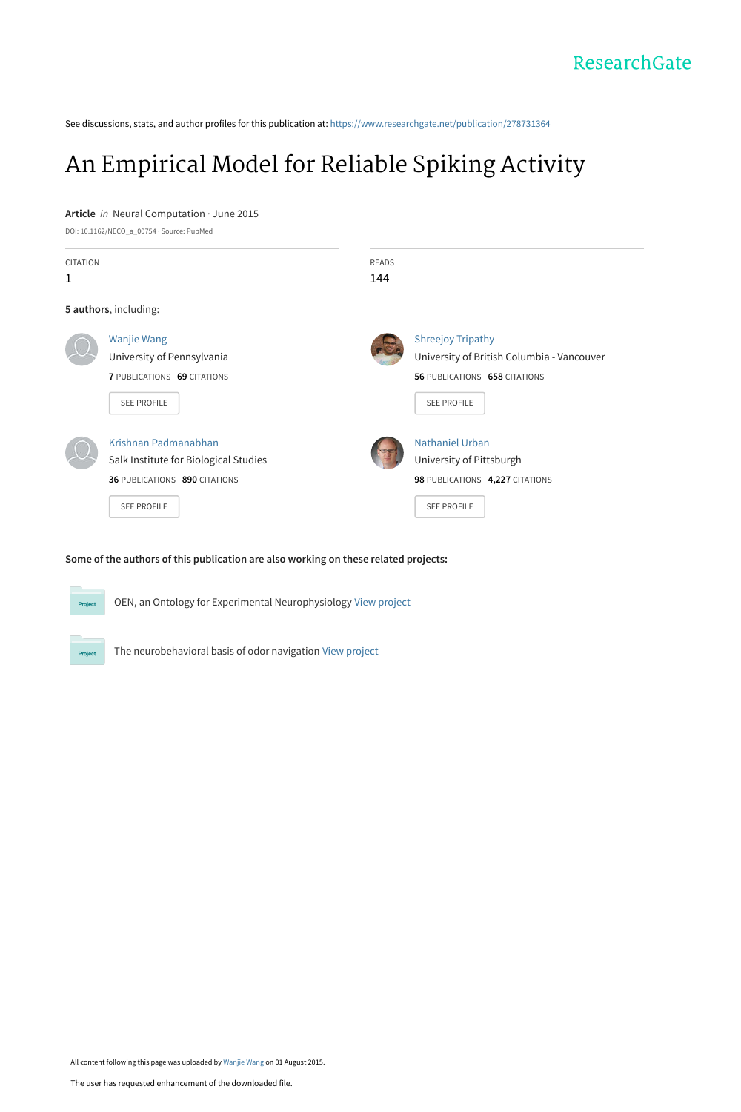See discussions, stats, and author profiles for this publication at: [https://www.researchgate.net/publication/278731364](https://www.researchgate.net/publication/278731364_An_Empirical_Model_for_Reliable_Spiking_Activity?enrichId=rgreq-4d766eb51b162b2e9f44b7f7e88d0dd1-XXX&enrichSource=Y292ZXJQYWdlOzI3ODczMTM2NDtBUzoyNTc1MDIzMjc2MDMyMDRAMTQzODQwNDc0Nzc1OA%3D%3D&el=1_x_2&_esc=publicationCoverPdf)

# [An Empirical Model for Reliable Spiking Activity](https://www.researchgate.net/publication/278731364_An_Empirical_Model_for_Reliable_Spiking_Activity?enrichId=rgreq-4d766eb51b162b2e9f44b7f7e88d0dd1-XXX&enrichSource=Y292ZXJQYWdlOzI3ODczMTM2NDtBUzoyNTc1MDIzMjc2MDMyMDRAMTQzODQwNDc0Nzc1OA%3D%3D&el=1_x_3&_esc=publicationCoverPdf)

#### **Article** in Neural Computation · June 2015

DOI: 10.1162/NECO\_a\_00754 · Source: PubMed

| <b>CITATION</b><br>1 |                                                                                              | READS<br>144 |                                                                                                         |
|----------------------|----------------------------------------------------------------------------------------------|--------------|---------------------------------------------------------------------------------------------------------|
|                      | 5 authors, including:                                                                        |              |                                                                                                         |
|                      | <b>Wanjie Wang</b><br>University of Pennsylvania<br>7 PUBLICATIONS 69 CITATIONS              |              | <b>Shreejoy Tripathy</b><br>University of British Columbia - Vancouver<br>56 PUBLICATIONS 658 CITATIONS |
|                      | SEE PROFILE<br>Krishnan Padmanabhan                                                          |              | <b>SEE PROFILE</b><br><b>Nathaniel Urban</b>                                                            |
|                      | Salk Institute for Biological Studies<br>36 PUBLICATIONS 890 CITATIONS<br><b>SEE PROFILE</b> |              | University of Pittsburgh<br>98 PUBLICATIONS 4,227 CITATIONS<br><b>SEE PROFILE</b>                       |

#### **Some of the authors of this publication are also working on these related projects:**



OEN, an Ontology for Experimental Neurophysiology [View project](https://www.researchgate.net/project/OEN-an-Ontology-for-Experimental-Neurophysiology?enrichId=rgreq-4d766eb51b162b2e9f44b7f7e88d0dd1-XXX&enrichSource=Y292ZXJQYWdlOzI3ODczMTM2NDtBUzoyNTc1MDIzMjc2MDMyMDRAMTQzODQwNDc0Nzc1OA%3D%3D&el=1_x_9&_esc=publicationCoverPdf)

The neurobehavioral basis of odor navigation [View project](https://www.researchgate.net/project/The-neurobehavioral-basis-of-odor-navigation?enrichId=rgreq-4d766eb51b162b2e9f44b7f7e88d0dd1-XXX&enrichSource=Y292ZXJQYWdlOzI3ODczMTM2NDtBUzoyNTc1MDIzMjc2MDMyMDRAMTQzODQwNDc0Nzc1OA%3D%3D&el=1_x_9&_esc=publicationCoverPdf)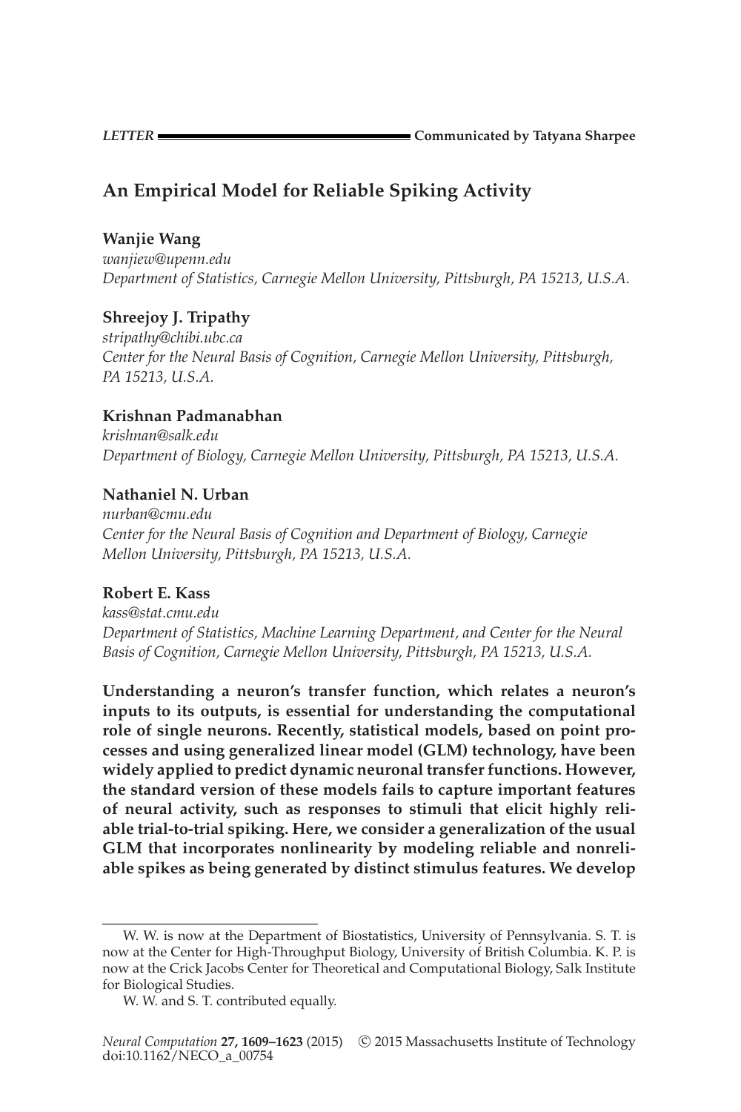**LETTER** Communicated by Tatyana Sharpee

# **An Empirical Model for Reliable Spiking Activity**

# **Wanjie Wang**

*wanjiew@upenn.edu Department of Statistics, Carnegie Mellon University, Pittsburgh, PA 15213, U.S.A.*

# **Shreejoy J. Tripathy**

*stripathy@chibi.ubc.ca Center for the Neural Basis of Cognition, Carnegie Mellon University, Pittsburgh, PA 15213, U.S.A.*

# **Krishnan Padmanabhan**

*krishnan@salk.edu Department of Biology, Carnegie Mellon University, Pittsburgh, PA 15213, U.S.A.*

# **Nathaniel N. Urban**

*nurban@cmu.edu Center for the Neural Basis of Cognition and Department of Biology, Carnegie Mellon University, Pittsburgh, PA 15213, U.S.A.*

# **Robert E. Kass**

*kass@stat.cmu.edu Department of Statistics, Machine Learning Department, and Center for the Neural Basis of Cognition, Carnegie Mellon University, Pittsburgh, PA 15213, U.S.A.*

**Understanding a neuron's transfer function, which relates a neuron's inputs to its outputs, is essential for understanding the computational role of single neurons. Recently, statistical models, based on point processes and using generalized linear model (GLM) technology, have been widely applied to predict dynamic neuronal transfer functions. However, the standard version of these models fails to capture important features of neural activity, such as responses to stimuli that elicit highly reliable trial-to-trial spiking. Here, we consider a generalization of the usual GLM that incorporates nonlinearity by modeling reliable and nonreliable spikes as being generated by distinct stimulus features. We develop**

W. W. is now at the Department of Biostatistics, University of Pennsylvania. S. T. is now at the Center for High-Throughput Biology, University of British Columbia. K. P. is now at the Crick Jacobs Center for Theoretical and Computational Biology, Salk Institute for Biological Studies.

W. W. and S. T. contributed equally.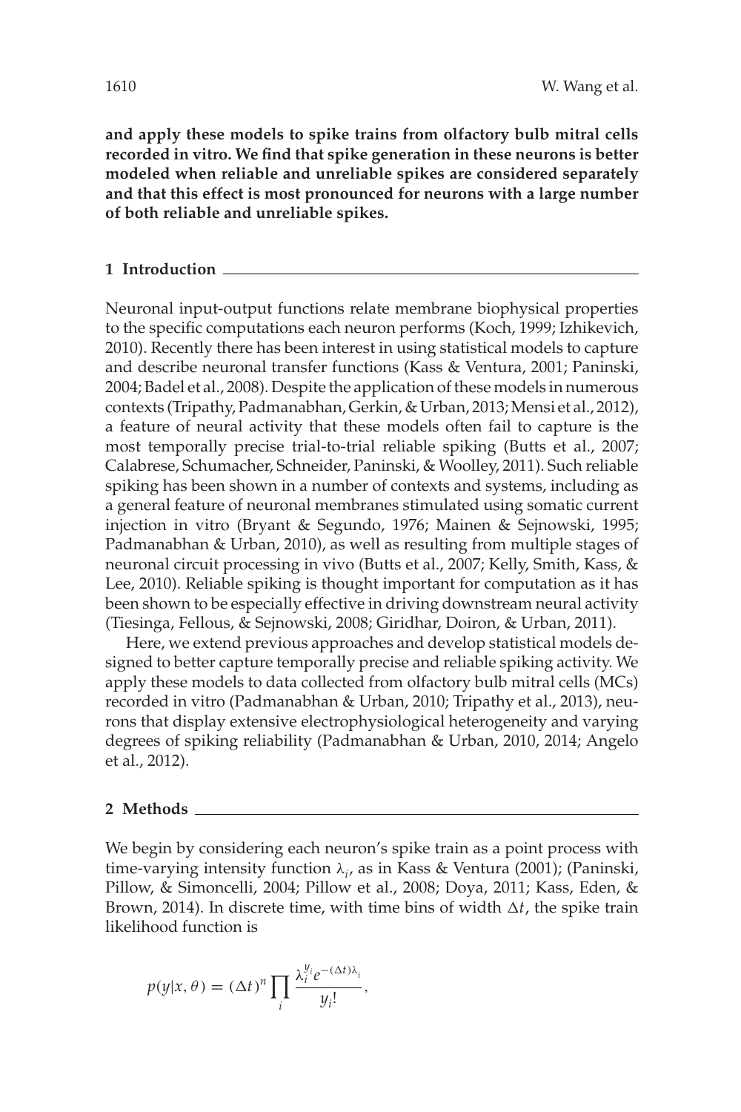**and apply these models to spike trains from olfactory bulb mitral cells recorded in vitro. We find that spike generation in these neurons is better modeled when reliable and unreliable spikes are considered separately and that this effect is most pronounced for neurons with a large number of both reliable and unreliable spikes.**

### **1 Introduction**

Neuronal input-output functions relate membrane biophysical properties to the specific computations each neuron performs (Koch, 1999; Izhikevich, 2010). Recently there has been interest in using statistical models to capture and describe neuronal transfer functions (Kass & Ventura, 2001; Paninski, 2004; Badel et al., 2008). Despite the application of these models in numerous contexts (Tripathy, Padmanabhan, Gerkin, & Urban, 2013; Mensi et al., 2012), a feature of neural activity that these models often fail to capture is the most temporally precise trial-to-trial reliable spiking (Butts et al., 2007; Calabrese, Schumacher, Schneider, Paninski, & Woolley, 2011). Such reliable spiking has been shown in a number of contexts and systems, including as a general feature of neuronal membranes stimulated using somatic current injection in vitro (Bryant & Segundo, 1976; Mainen & Sejnowski, 1995; Padmanabhan & Urban, 2010), as well as resulting from multiple stages of neuronal circuit processing in vivo (Butts et al., 2007; Kelly, Smith, Kass, & Lee, 2010). Reliable spiking is thought important for computation as it has been shown to be especially effective in driving downstream neural activity (Tiesinga, Fellous, & Sejnowski, 2008; Giridhar, Doiron, & Urban, 2011).

Here, we extend previous approaches and develop statistical models designed to better capture temporally precise and reliable spiking activity. We apply these models to data collected from olfactory bulb mitral cells (MCs) recorded in vitro (Padmanabhan & Urban, 2010; Tripathy et al., 2013), neurons that display extensive electrophysiological heterogeneity and varying degrees of spiking reliability (Padmanabhan & Urban, 2010, 2014; Angelo et al., 2012).

#### **2 Methods**

We begin by considering each neuron's spike train as a point process with time-varying intensity function λ*<sup>i</sup>* , as in Kass & Ventura (2001); (Paninski, Pillow, & Simoncelli, 2004; Pillow et al., 2008; Doya, 2011; Kass, Eden, & Brown, 2014). In discrete time, with time bins of width  $\Delta t$ , the spike train likelihood function is

$$
p(y|x,\theta) = (\Delta t)^n \prod_i \frac{\lambda_i^{y_i} e^{-(\Delta t)\lambda_i}}{y_i!},
$$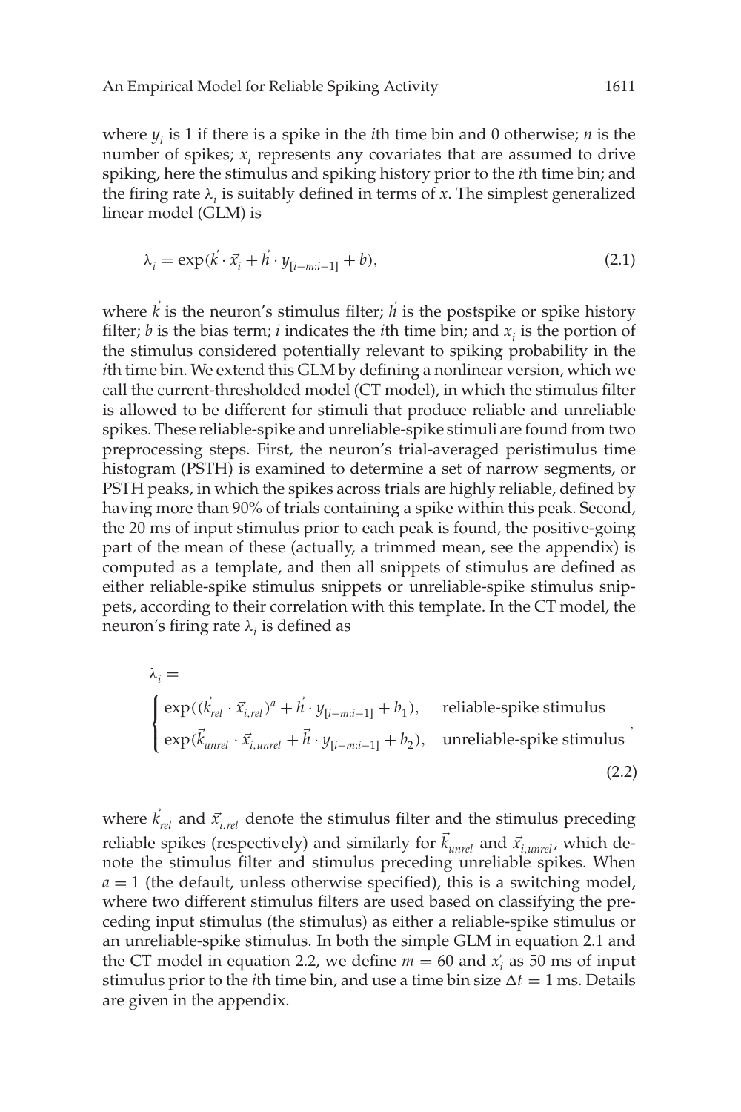where *yi* is 1 if there is a spike in the *i*th time bin and 0 otherwise; *n* is the number of spikes; *xi* represents any covariates that are assumed to drive spiking, here the stimulus and spiking history prior to the *i*th time bin; and the firing rate  $\lambda_i$  is suitably defined in terms of x. The simplest generalized linear model (GLM) is

$$
\lambda_i = \exp(\vec{k} \cdot \vec{x}_i + \vec{h} \cdot y_{[i-m:i-1]} + b),\tag{2.1}
$$

where  $\vec{k}$  is the neuron's stimulus filter;  $\vec{h}$  is the postspike or spike history filter; *b* is the bias term; *i* indicates the *i*th time bin; and  $x_i$  is the portion of the stimulus considered potentially relevant to spiking probability in the *i*th time bin. We extend this GLM by defining a nonlinear version, which we call the current-thresholded model (CT model), in which the stimulus filter is allowed to be different for stimuli that produce reliable and unreliable spikes. These reliable-spike and unreliable-spike stimuli are found from two preprocessing steps. First, the neuron's trial-averaged peristimulus time histogram (PSTH) is examined to determine a set of narrow segments, or PSTH peaks, in which the spikes across trials are highly reliable, defined by having more than 90% of trials containing a spike within this peak. Second, the 20 ms of input stimulus prior to each peak is found, the positive-going part of the mean of these (actually, a trimmed mean, see the appendix) is computed as a template, and then all snippets of stimulus are defined as either reliable-spike stimulus snippets or unreliable-spike stimulus snippets, according to their correlation with this template. In the CT model, the neuron's firing rate  $\lambda_i$  is defined as

$$
\lambda_{i} =
$$
\n
$$
\begin{cases}\n\exp((\vec{k}_{rel} \cdot \vec{x}_{i,rel})^{a} + \vec{h} \cdot y_{[i-m:i-1]} + b_{1}), & \text{reliable-spike stimulus} \\
\exp(\vec{k}_{unrel} \cdot \vec{x}_{i,unrel} + \vec{h} \cdot y_{[i-m:i-1]} + b_{2}), & \text{unreliable-spike stimulus}\n\end{cases}
$$
\n(2.2)

where  $\vec{k}_{rel}$  and  $\vec{x}_{i,rel}$  denote the stimulus filter and the stimulus preceding reliable spikes (respectively) and similarly for  $\vec{k}_{unrel}$  and  $\vec{x}_{i,unrel}$ , which denote the stimulus filter and stimulus preceding unreliable spikes. When  $a = 1$  (the default, unless otherwise specified), this is a switching model, where two different stimulus filters are used based on classifying the preceding input stimulus (the stimulus) as either a reliable-spike stimulus or an unreliable-spike stimulus. In both the simple GLM in equation 2.1 and the CT model in equation 2.2, we define  $m = 60$  and  $\vec{x_i}$  as 50 ms of input stimulus prior to the *i*th time bin, and use a time bin size  $\Delta t = 1$  ms. Details are given in the appendix.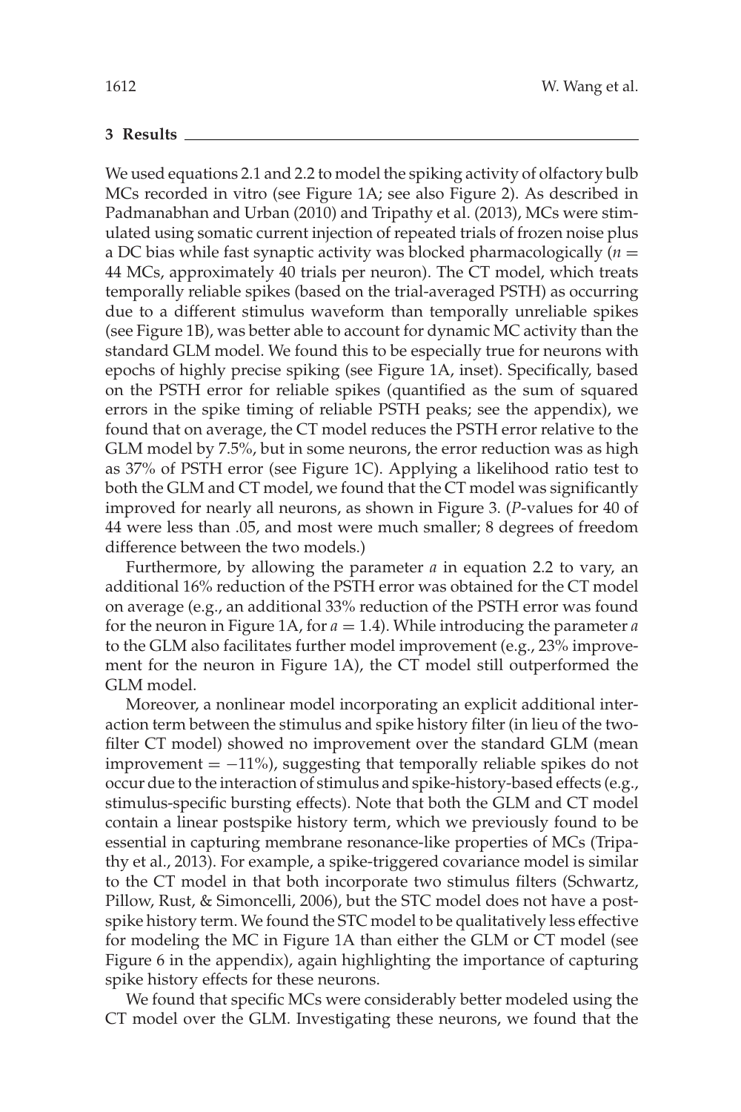## **3 Results**

We used equations 2.1 and 2.2 to model the spiking activity of olfactory bulb MCs recorded in vitro (see Figure 1A; see also Figure 2). As described in Padmanabhan and Urban (2010) and Tripathy et al. (2013), MCs were stimulated using somatic current injection of repeated trials of frozen noise plus a DC bias while fast synaptic activity was blocked pharmacologically  $(n =$ 44 MCs, approximately 40 trials per neuron). The CT model, which treats temporally reliable spikes (based on the trial-averaged PSTH) as occurring due to a different stimulus waveform than temporally unreliable spikes (see Figure 1B), was better able to account for dynamic MC activity than the standard GLM model. We found this to be especially true for neurons with epochs of highly precise spiking (see Figure 1A, inset). Specifically, based on the PSTH error for reliable spikes (quantified as the sum of squared errors in the spike timing of reliable PSTH peaks; see the appendix), we found that on average, the CT model reduces the PSTH error relative to the GLM model by 7.5%, but in some neurons, the error reduction was as high as 37% of PSTH error (see Figure 1C). Applying a likelihood ratio test to both the GLM and CT model, we found that the CT model was significantly improved for nearly all neurons, as shown in Figure 3. (*P*-values for 40 of 44 were less than .05, and most were much smaller; 8 degrees of freedom difference between the two models.)

Furthermore, by allowing the parameter *a* in equation 2.2 to vary, an additional 16% reduction of the PSTH error was obtained for the CT model on average (e.g., an additional 33% reduction of the PSTH error was found for the neuron in Figure 1A, for *a* = 1.4). While introducing the parameter *a* to the GLM also facilitates further model improvement (e.g., 23% improvement for the neuron in Figure 1A), the CT model still outperformed the GLM model.

Moreover, a nonlinear model incorporating an explicit additional interaction term between the stimulus and spike history filter (in lieu of the twofilter CT model) showed no improvement over the standard GLM (mean improvement  $= -11\%$ ), suggesting that temporally reliable spikes do not occur due to the interaction of stimulus and spike-history-based effects (e.g., stimulus-specific bursting effects). Note that both the GLM and CT model contain a linear postspike history term, which we previously found to be essential in capturing membrane resonance-like properties of MCs (Tripathy et al., 2013). For example, a spike-triggered covariance model is similar to the CT model in that both incorporate two stimulus filters (Schwartz, Pillow, Rust, & Simoncelli, 2006), but the STC model does not have a postspike history term. We found the STC model to be qualitatively less effective for modeling the MC in Figure 1A than either the GLM or CT model (see Figure 6 in the appendix), again highlighting the importance of capturing spike history effects for these neurons.

We found that specific MCs were considerably better modeled using the CT model over the GLM. Investigating these neurons, we found that the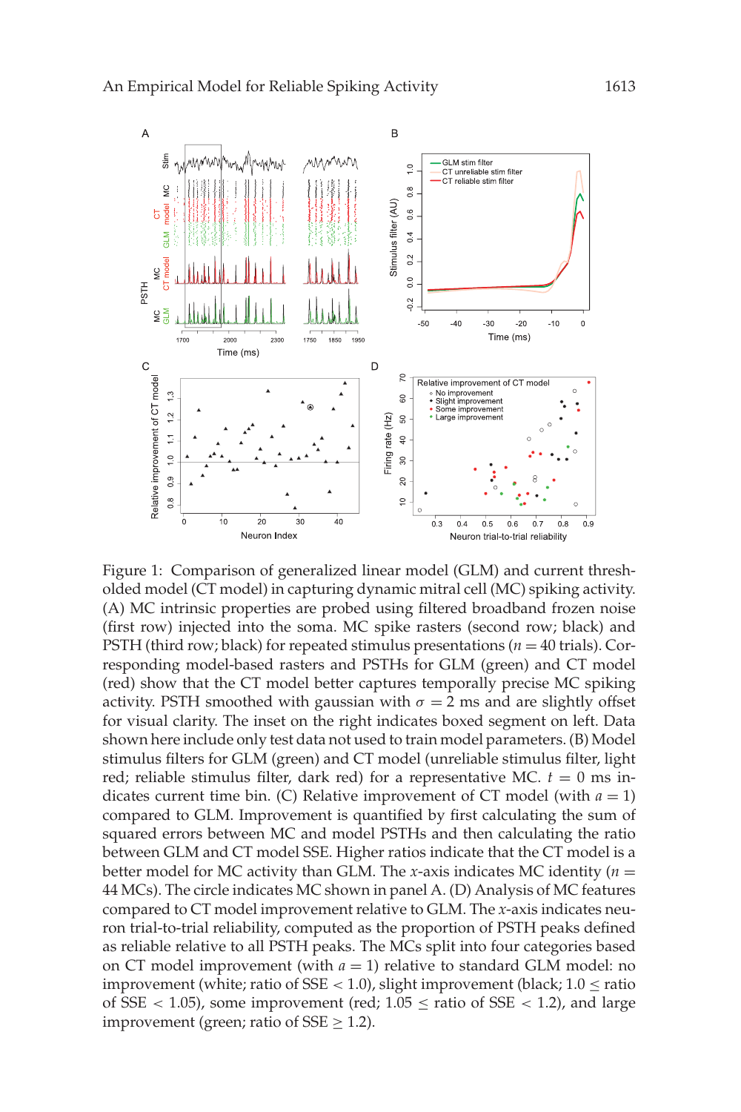

Figure 1: Comparison of generalized linear model (GLM) and current thresholded model (CT model) in capturing dynamic mitral cell (MC) spiking activity. (A) MC intrinsic properties are probed using filtered broadband frozen noise (first row) injected into the soma. MC spike rasters (second row; black) and PSTH (third row; black) for repeated stimulus presentations (*n* = 40 trials). Corresponding model-based rasters and PSTHs for GLM (green) and CT model (red) show that the CT model better captures temporally precise MC spiking activity. PSTH smoothed with gaussian with  $\sigma = 2$  ms and are slightly offset for visual clarity. The inset on the right indicates boxed segment on left. Data shown here include only test data not used to train model parameters. (B) Model stimulus filters for GLM (green) and CT model (unreliable stimulus filter, light red; reliable stimulus filter, dark red) for a representative MC.  $t = 0$  ms indicates current time bin. (C) Relative improvement of CT model (with  $a = 1$ ) compared to GLM. Improvement is quantified by first calculating the sum of squared errors between MC and model PSTHs and then calculating the ratio between GLM and CT model SSE. Higher ratios indicate that the CT model is a better model for MC activity than GLM. The *x*-axis indicates MC identity (*n* = 44 MCs). The circle indicates MC shown in panel A. (D) Analysis of MC features compared to CT model improvement relative to GLM. The *x*-axis indicates neuron trial-to-trial reliability, computed as the proportion of PSTH peaks defined as reliable relative to all PSTH peaks. The MCs split into four categories based on CT model improvement (with  $a = 1$ ) relative to standard GLM model: no improvement (white; ratio of  $SSE < 1.0$ ), slight improvement (black;  $1.0 \le$  ratio of SSE  $<$  1.05), some improvement (red; 1.05  $\leq$  ratio of SSE  $<$  1.2), and large improvement (green; ratio of  $SSE > 1.2$ ).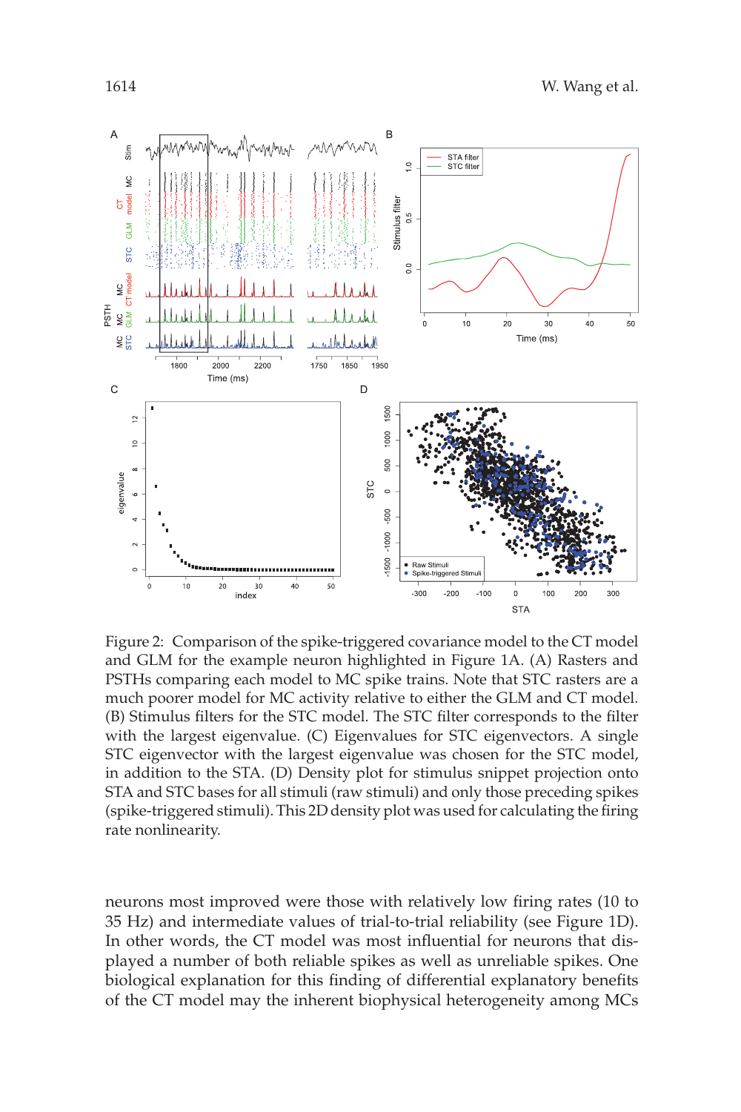

Figure 2: Comparison of the spike-triggered covariance model to the CT model and GLM for the example neuron highlighted in Figure 1A. (A) Rasters and PSTHs comparing each model to MC spike trains. Note that STC rasters are a much poorer model for MC activity relative to either the GLM and CT model. (B) Stimulus filters for the STC model. The STC filter corresponds to the filter with the largest eigenvalue. (C) Eigenvalues for STC eigenvectors. A single STC eigenvector with the largest eigenvalue was chosen for the STC model, in addition to the STA. (D) Density plot for stimulus snippet projection onto STA and STC bases for all stimuli (raw stimuli) and only those preceding spikes (spike-triggered stimuli). This 2D density plot was used for calculating the firing rate nonlinearity.

neurons most improved were those with relatively low firing rates (10 to 35 Hz) and intermediate values of trial-to-trial reliability (see Figure 1D). In other words, the CT model was most influential for neurons that displayed a number of both reliable spikes as well as unreliable spikes. One biological explanation for this finding of differential explanatory benefits of the CT model may the inherent biophysical heterogeneity among MCs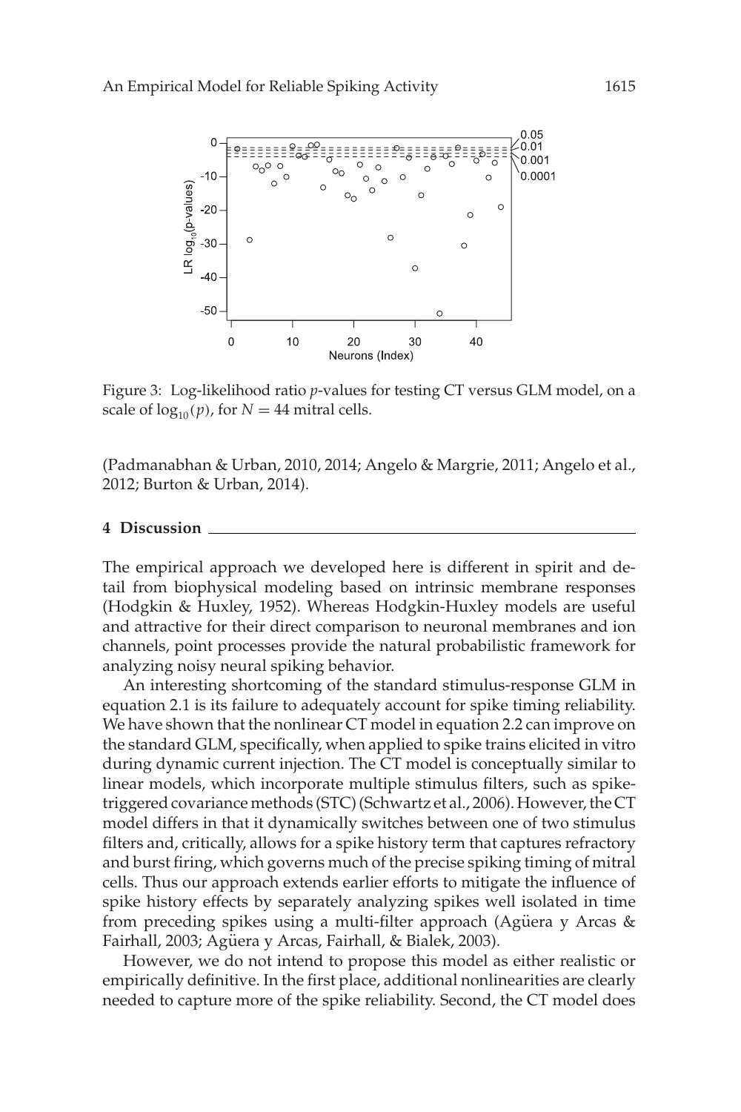![](_page_7_Figure_1.jpeg)

Figure 3: Log-likelihood ratio *p*-values for testing CT versus GLM model, on a scale of  $log_{10}(p)$ , for  $N = 44$  mitral cells.

(Padmanabhan & Urban, 2010, 2014; Angelo & Margrie, 2011; Angelo et al., 2012; Burton & Urban, 2014).

#### **4 Discussion**

The empirical approach we developed here is different in spirit and detail from biophysical modeling based on intrinsic membrane responses (Hodgkin & Huxley, 1952). Whereas Hodgkin-Huxley models are useful and attractive for their direct comparison to neuronal membranes and ion channels, point processes provide the natural probabilistic framework for analyzing noisy neural spiking behavior.

An interesting shortcoming of the standard stimulus-response GLM in equation 2.1 is its failure to adequately account for spike timing reliability. We have shown that the nonlinear CT model in equation 2.2 can improve on the standard GLM, specifically, when applied to spike trains elicited in vitro during dynamic current injection. The CT model is conceptually similar to linear models, which incorporate multiple stimulus filters, such as spiketriggered covariance methods (STC) (Schwartz et al., 2006). However, the CT model differs in that it dynamically switches between one of two stimulus filters and, critically, allows for a spike history term that captures refractory and burst firing, which governs much of the precise spiking timing of mitral cells. Thus our approach extends earlier efforts to mitigate the influence of spike history effects by separately analyzing spikes well isolated in time from preceding spikes using a multi-filter approach (Agüera y Arcas  $\&$ Fairhall, 2003; Agüera y Arcas, Fairhall, & Bialek, 2003).

However, we do not intend to propose this model as either realistic or empirically definitive. In the first place, additional nonlinearities are clearly needed to capture more of the spike reliability. Second, the CT model does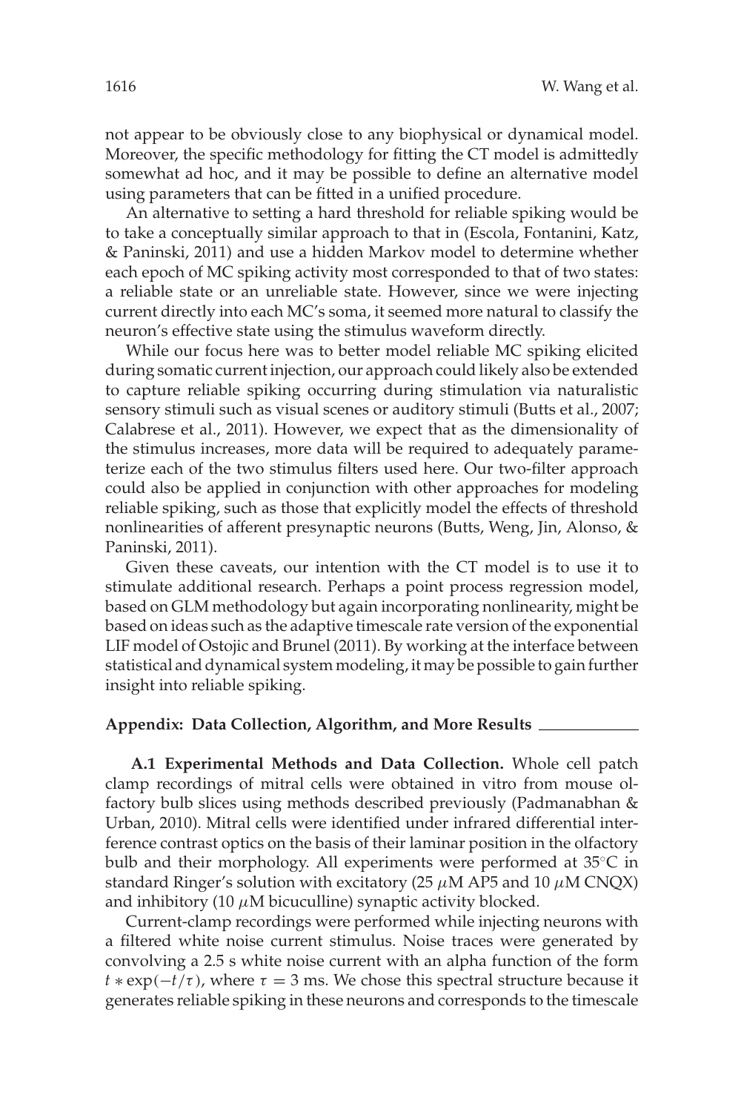not appear to be obviously close to any biophysical or dynamical model. Moreover, the specific methodology for fitting the CT model is admittedly somewhat ad hoc, and it may be possible to define an alternative model using parameters that can be fitted in a unified procedure.

An alternative to setting a hard threshold for reliable spiking would be to take a conceptually similar approach to that in (Escola, Fontanini, Katz, & Paninski, 2011) and use a hidden Markov model to determine whether each epoch of MC spiking activity most corresponded to that of two states: a reliable state or an unreliable state. However, since we were injecting current directly into each MC's soma, it seemed more natural to classify the neuron's effective state using the stimulus waveform directly.

While our focus here was to better model reliable MC spiking elicited during somatic current injection, our approach could likely also be extended to capture reliable spiking occurring during stimulation via naturalistic sensory stimuli such as visual scenes or auditory stimuli (Butts et al., 2007; Calabrese et al., 2011). However, we expect that as the dimensionality of the stimulus increases, more data will be required to adequately parameterize each of the two stimulus filters used here. Our two-filter approach could also be applied in conjunction with other approaches for modeling reliable spiking, such as those that explicitly model the effects of threshold nonlinearities of afferent presynaptic neurons (Butts, Weng, Jin, Alonso, & Paninski, 2011).

Given these caveats, our intention with the CT model is to use it to stimulate additional research. Perhaps a point process regression model, based on GLM methodology but again incorporating nonlinearity, might be based on ideas such as the adaptive timescale rate version of the exponential LIF model of Ostojic and Brunel (2011). By working at the interface between statistical and dynamical system modeling, it may be possible to gain further insight into reliable spiking.

#### **Appendix: Data Collection, Algorithm, and More Results**

**A.1 Experimental Methods and Data Collection.** Whole cell patch clamp recordings of mitral cells were obtained in vitro from mouse olfactory bulb slices using methods described previously (Padmanabhan  $\&$ Urban, 2010). Mitral cells were identified under infrared differential interference contrast optics on the basis of their laminar position in the olfactory bulb and their morphology. All experiments were performed at 35◦C in standard Ringer's solution with excitatory (25  $\mu$ M AP5 and 10  $\mu$ M CNQX) and inhibitory (10  $\mu$ M bicuculline) synaptic activity blocked.

Current-clamp recordings were performed while injecting neurons with a filtered white noise current stimulus. Noise traces were generated by convolving a 2.5 s white noise current with an alpha function of the form  $t * \exp(-t/\tau)$ , where  $\tau = 3$  ms. We chose this spectral structure because it generates reliable spiking in these neurons and corresponds to the timescale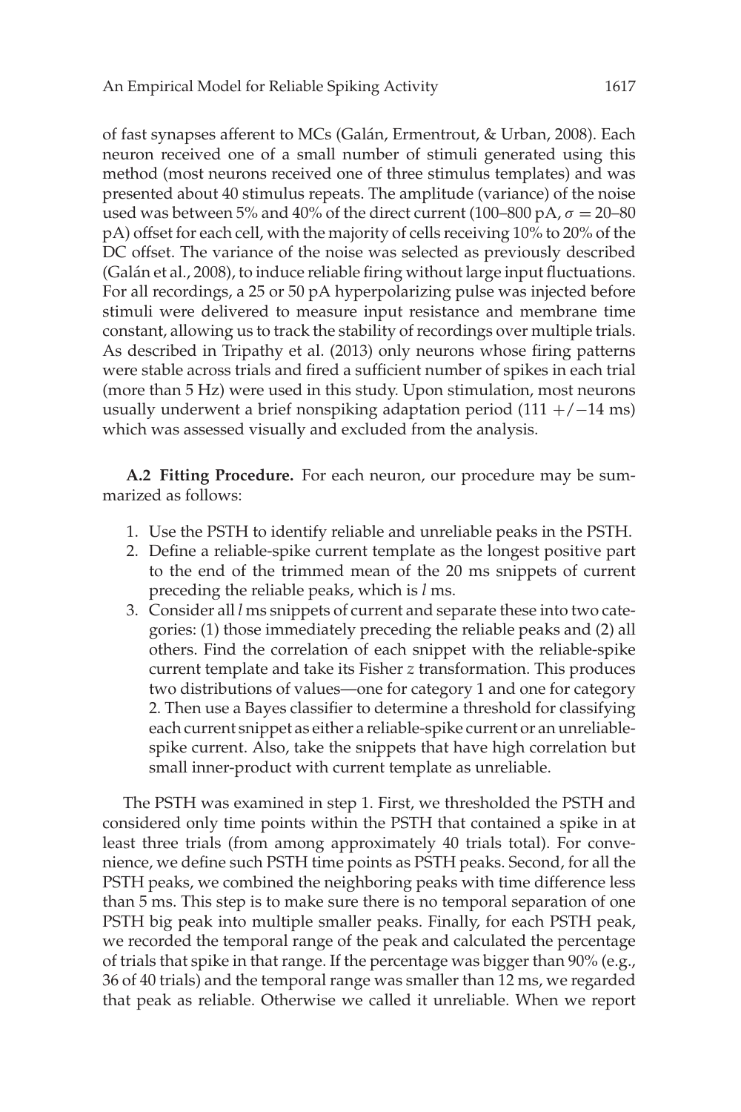of fast synapses afferent to MCs (Galán, Ermentrout, & Urban, 2008). Each neuron received one of a small number of stimuli generated using this method (most neurons received one of three stimulus templates) and was presented about 40 stimulus repeats. The amplitude (variance) of the noise used was between 5% and 40% of the direct current (100–800 pA,  $\sigma = 20$ –80 pA) offset for each cell, with the majority of cells receiving 10% to 20% of the DC offset. The variance of the noise was selected as previously described (Galán et al., 2008), to induce reliable firing without large input fluctuations. For all recordings, a 25 or 50 pA hyperpolarizing pulse was injected before stimuli were delivered to measure input resistance and membrane time constant, allowing us to track the stability of recordings over multiple trials. As described in Tripathy et al. (2013) only neurons whose firing patterns were stable across trials and fired a sufficient number of spikes in each trial (more than 5 Hz) were used in this study. Upon stimulation, most neurons usually underwent a brief nonspiking adaptation period  $(111 +/-14$  ms) which was assessed visually and excluded from the analysis.

**A.2 Fitting Procedure.** For each neuron, our procedure may be summarized as follows:

- 1. Use the PSTH to identify reliable and unreliable peaks in the PSTH.
- 2. Define a reliable-spike current template as the longest positive part to the end of the trimmed mean of the 20 ms snippets of current preceding the reliable peaks, which is *l* ms.
- 3. Consider all *l* ms snippets of current and separate these into two categories: (1) those immediately preceding the reliable peaks and (2) all others. Find the correlation of each snippet with the reliable-spike current template and take its Fisher *z* transformation. This produces two distributions of values—one for category 1 and one for category 2. Then use a Bayes classifier to determine a threshold for classifying each current snippet as either a reliable-spike current or an unreliablespike current. Also, take the snippets that have high correlation but small inner-product with current template as unreliable.

The PSTH was examined in step 1. First, we thresholded the PSTH and considered only time points within the PSTH that contained a spike in at least three trials (from among approximately 40 trials total). For convenience, we define such PSTH time points as PSTH peaks. Second, for all the PSTH peaks, we combined the neighboring peaks with time difference less than 5 ms. This step is to make sure there is no temporal separation of one PSTH big peak into multiple smaller peaks. Finally, for each PSTH peak, we recorded the temporal range of the peak and calculated the percentage of trials that spike in that range. If the percentage was bigger than 90% (e.g., 36 of 40 trials) and the temporal range was smaller than 12 ms, we regarded that peak as reliable. Otherwise we called it unreliable. When we report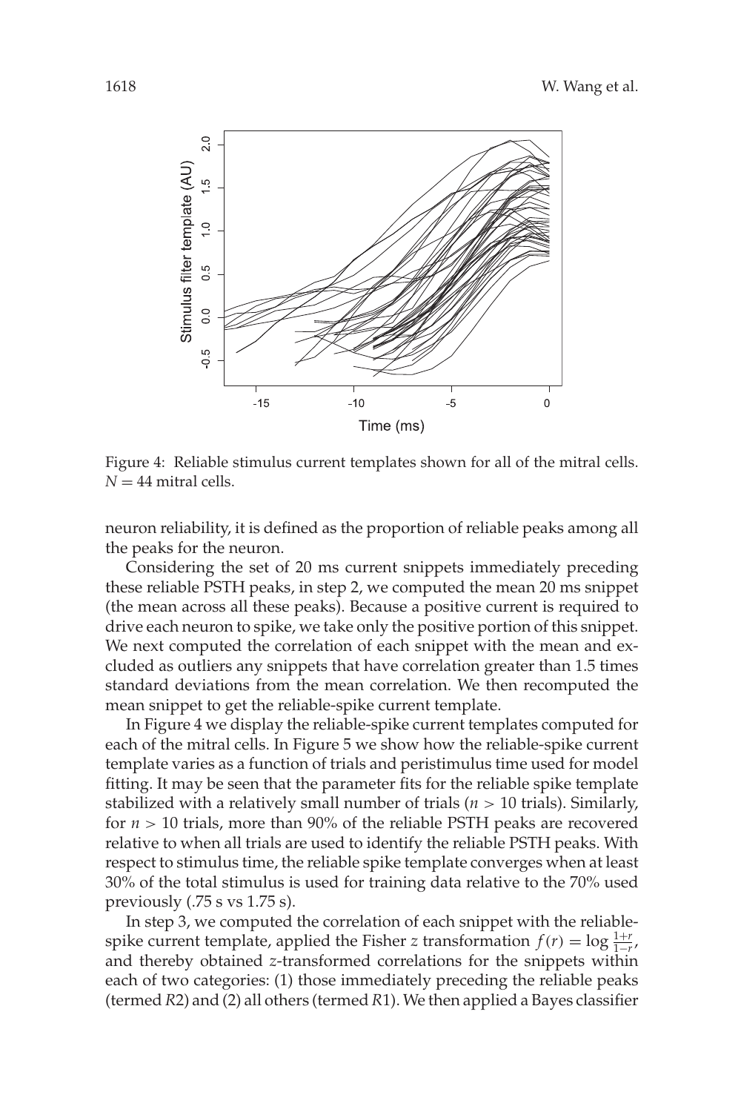![](_page_10_Figure_1.jpeg)

Figure 4: Reliable stimulus current templates shown for all of the mitral cells.  $N = 44$  mitral cells.

neuron reliability, it is defined as the proportion of reliable peaks among all the peaks for the neuron.

Considering the set of 20 ms current snippets immediately preceding these reliable PSTH peaks, in step 2, we computed the mean 20 ms snippet (the mean across all these peaks). Because a positive current is required to drive each neuron to spike, we take only the positive portion of this snippet. We next computed the correlation of each snippet with the mean and excluded as outliers any snippets that have correlation greater than 1.5 times standard deviations from the mean correlation. We then recomputed the mean snippet to get the reliable-spike current template.

In Figure 4 we display the reliable-spike current templates computed for each of the mitral cells. In Figure 5 we show how the reliable-spike current template varies as a function of trials and peristimulus time used for model fitting. It may be seen that the parameter fits for the reliable spike template stabilized with a relatively small number of trials (*n* > 10 trials). Similarly, for *n* > 10 trials, more than 90% of the reliable PSTH peaks are recovered relative to when all trials are used to identify the reliable PSTH peaks. With respect to stimulus time, the reliable spike template converges when at least 30% of the total stimulus is used for training data relative to the 70% used previously (.75 s vs 1.75 s).

In step 3, we computed the correlation of each snippet with the reliablespike current template, applied the Fisher *z* transformation  $f(r) = \log \frac{1+r}{1-r}$ , and thereby obtained *z*-transformed correlations for the snippets within each of two categories: (1) those immediately preceding the reliable peaks (termed *R*2) and (2) all others (termed *R*1). We then applied a Bayes classifier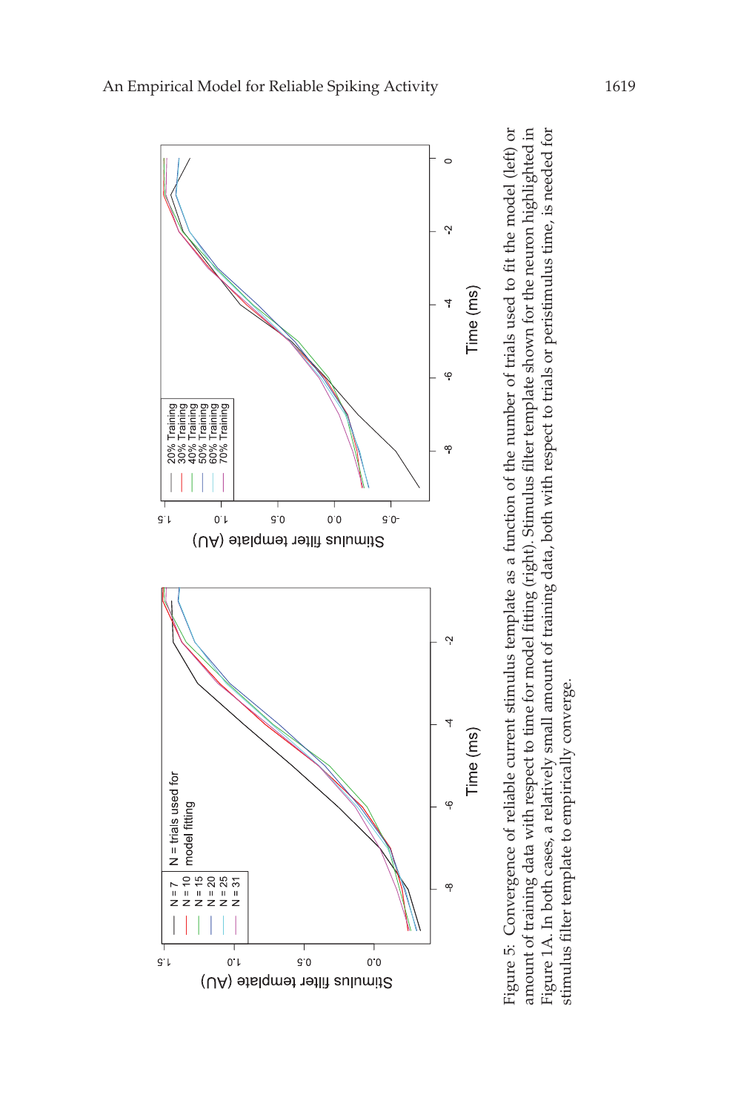![](_page_11_Figure_0.jpeg)

![](_page_11_Figure_1.jpeg)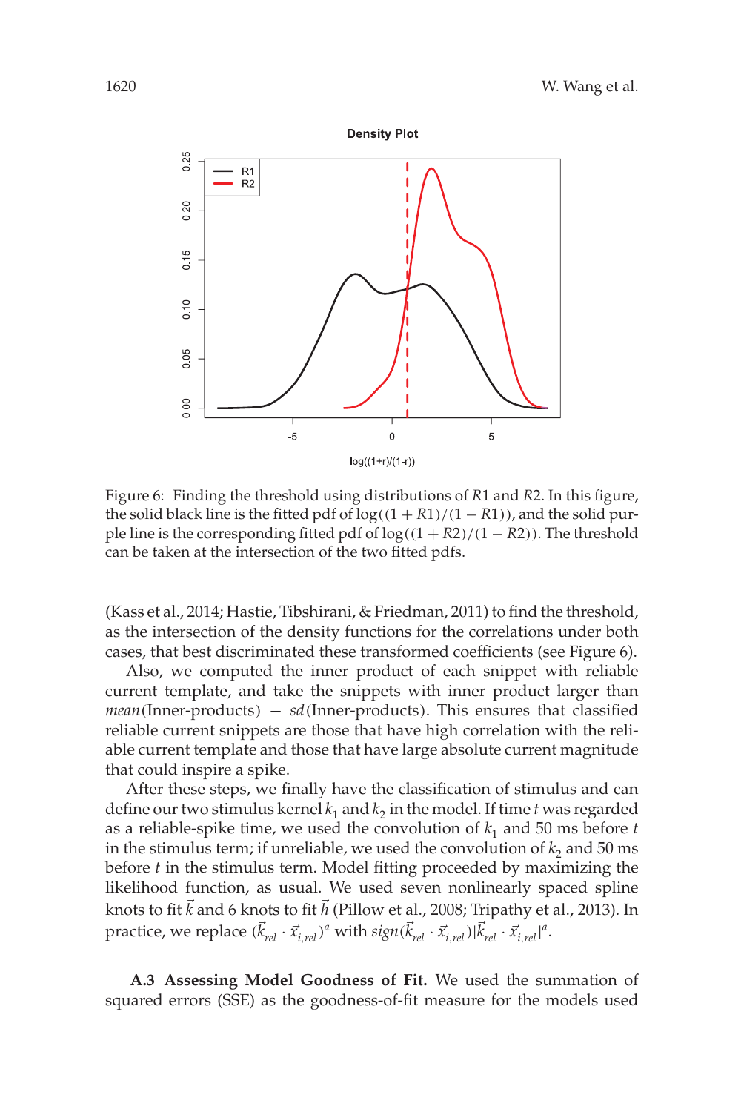![](_page_12_Figure_1.jpeg)

Figure 6: Finding the threshold using distributions of *R*1 and *R*2. In this figure, the solid black line is the fitted pdf of  $log((1 + R1)/(1 - R1))$ , and the solid purple line is the corresponding fitted pdf of log((1 + *R*2)/(1 − *R*2)). The threshold can be taken at the intersection of the two fitted pdfs.

(Kass et al., 2014; Hastie, Tibshirani, & Friedman, 2011) to find the threshold, as the intersection of the density functions for the correlations under both cases, that best discriminated these transformed coefficients (see Figure 6).

Also, we computed the inner product of each snippet with reliable current template, and take the snippets with inner product larger than *mean*(Inner-products) – *sd*(Inner-products). This ensures that classified reliable current snippets are those that have high correlation with the reliable current template and those that have large absolute current magnitude that could inspire a spike.

After these steps, we finally have the classification of stimulus and can define our two stimulus kernel  $k_1$  and  $k_2$  in the model. If time  $t$  was regarded as a reliable-spike time, we used the convolution of  $k_1$  and 50 ms before  $t$ in the stimulus term; if unreliable, we used the convolution of  $k_2$  and 50 ms before *t* in the stimulus term. Model fitting proceeded by maximizing the likelihood function, as usual. We used seven nonlinearly spaced spline knots to fit  $\vec{k}$  and 6 knots to fit  $\vec{h}$  (Pillow et al., 2008; Tripathy et al., 2013). In practice, we replace  $(\vec{k}_{rel} \cdot \vec{x}_{i,rel})^a$  with  $sign(\vec{k}_{rel} \cdot \vec{x}_{i,rel})|\vec{k}_{rel} \cdot \vec{x}_{i,rel}|^a$ .

**A.3 Assessing Model Goodness of Fit.** We used the summation of squared errors (SSE) as the goodness-of-fit measure for the models used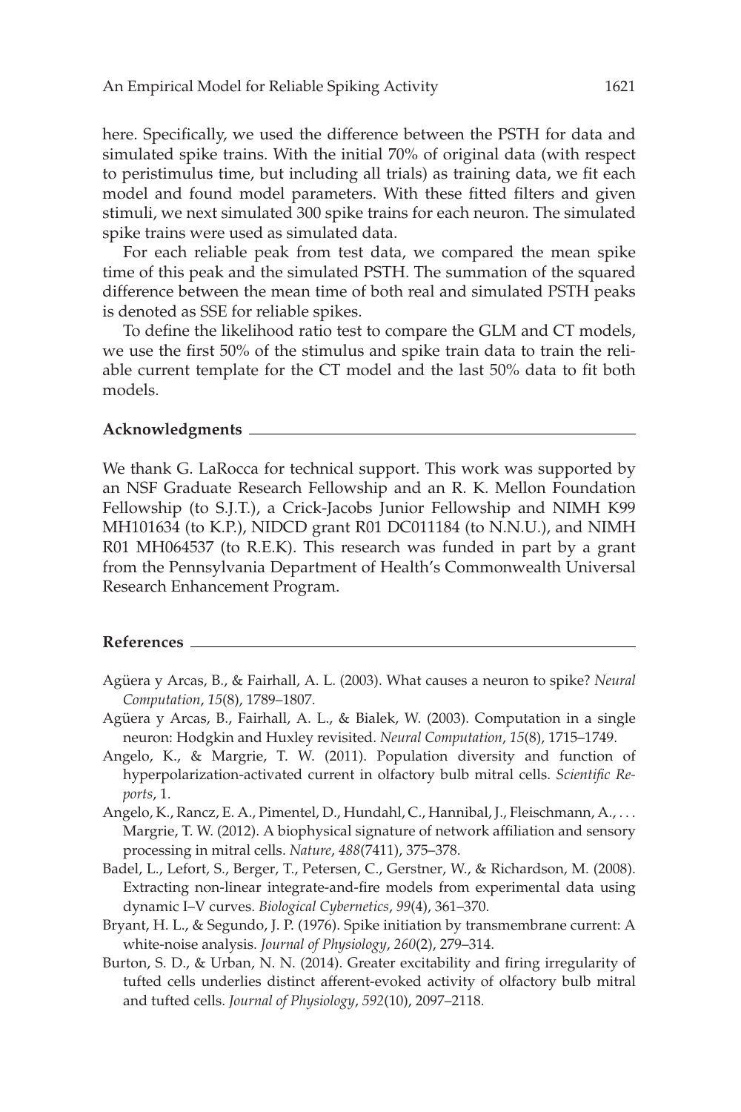here. Specifically, we used the difference between the PSTH for data and simulated spike trains. With the initial 70% of original data (with respect to peristimulus time, but including all trials) as training data, we fit each model and found model parameters. With these fitted filters and given stimuli, we next simulated 300 spike trains for each neuron. The simulated spike trains were used as simulated data.

For each reliable peak from test data, we compared the mean spike time of this peak and the simulated PSTH. The summation of the squared difference between the mean time of both real and simulated PSTH peaks is denoted as SSE for reliable spikes.

To define the likelihood ratio test to compare the GLM and CT models, we use the first 50% of the stimulus and spike train data to train the reliable current template for the CT model and the last 50% data to fit both models.

### **Acknowledgments**

We thank G. LaRocca for technical support. This work was supported by an NSF Graduate Research Fellowship and an R. K. Mellon Foundation Fellowship (to S.J.T.), a Crick-Jacobs Junior Fellowship and NIMH K99 MH101634 (to K.P.), NIDCD grant R01 DC011184 (to N.N.U.), and NIMH R01 MH064537 (to R.E.K). This research was funded in part by a grant from the Pennsylvania Department of Health's Commonwealth Universal Research Enhancement Program.

### **References**

- Agüera y Arcas, B., & Fairhall, A. L. (2003). What causes a neuron to spike? *Neural Computation*, *15*(8), 1789–1807.
- Agüera y Arcas, B., Fairhall, A. L., & Bialek, W. (2003). Computation in a single neuron: Hodgkin and Huxley revisited. *Neural Computation*, *15*(8), 1715–1749.
- Angelo, K., & Margrie, T. W. (2011). Population diversity and function of hyperpolarization-activated current in olfactory bulb mitral cells. *Scientific Reports*, 1.
- Angelo, K., Rancz, E. A., Pimentel, D., Hundahl, C., Hannibal, J., Fleischmann, A., ... Margrie, T. W. (2012). A biophysical signature of network affiliation and sensory processing in mitral cells. *Nature*, *488*(7411), 375–378.
- Badel, L., Lefort, S., Berger, T., Petersen, C., Gerstner, W., & Richardson, M. (2008). Extracting non-linear integrate-and-fire models from experimental data using dynamic I–V curves. *Biological Cybernetics*, *99*(4), 361–370.
- Bryant, H. L., & Segundo, J. P. (1976). Spike initiation by transmembrane current: A white-noise analysis. *Journal of Physiology*, *260*(2), 279–314.
- Burton, S. D., & Urban, N. N. (2014). Greater excitability and firing irregularity of tufted cells underlies distinct afferent-evoked activity of olfactory bulb mitral and tufted cells. *Journal of Physiology*, *592*(10), 2097–2118.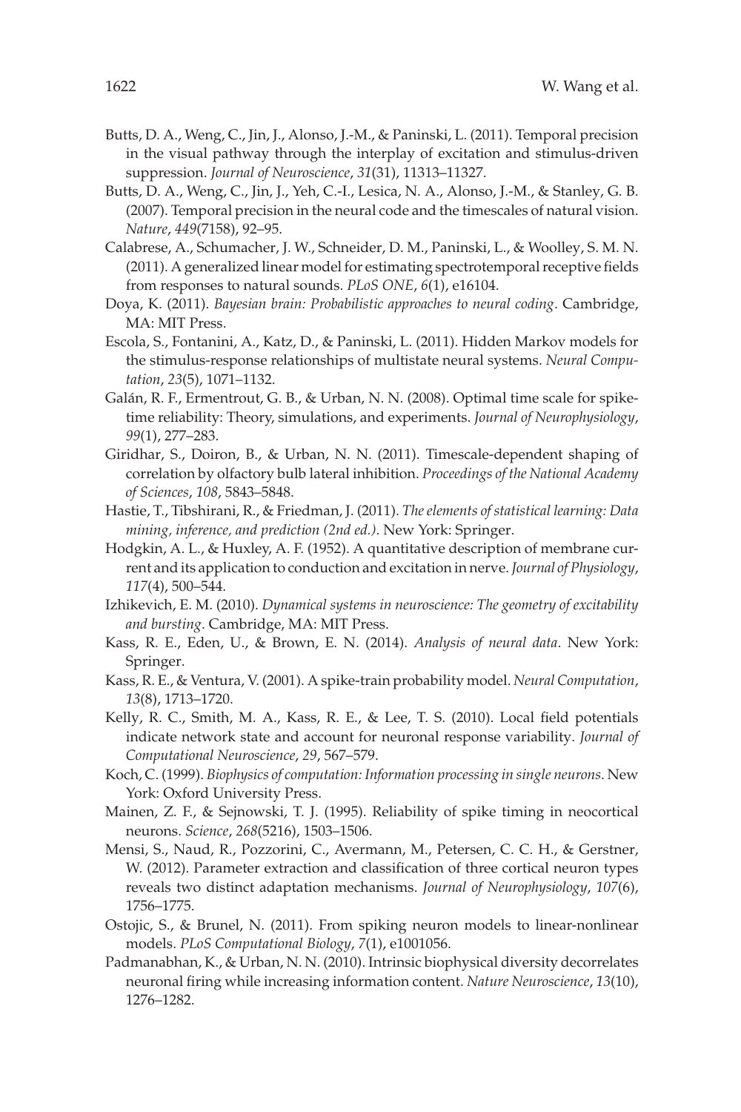- Butts, D. A., Weng, C., Jin, J., Alonso, J.-M., & Paninski, L. (2011). Temporal precision in the visual pathway through the interplay of excitation and stimulus-driven suppression. *Journal of Neuroscience*, *31*(31), 11313–11327.
- Butts, D. A., Weng, C., Jin, J., Yeh, C.-I., Lesica, N. A., Alonso, J.-M., & Stanley, G. B. (2007). Temporal precision in the neural code and the timescales of natural vision. *Nature*, *449*(7158), 92–95.
- Calabrese, A., Schumacher, J. W., Schneider, D. M., Paninski, L., & Woolley, S. M. N. (2011). A generalized linear model for estimating spectrotemporal receptive fields from responses to natural sounds. *PLoS ONE*, *6*(1), e16104.
- Doya, K. (2011). *Bayesian brain: Probabilistic approaches to neural coding*. Cambridge, MA: MIT Press.
- Escola, S., Fontanini, A., Katz, D., & Paninski, L. (2011). Hidden Markov models for the stimulus-response relationships of multistate neural systems. *Neural Computation*, *23*(5), 1071–1132.
- Galán, R. F., Ermentrout, G. B., & Urban, N. N. (2008). Optimal time scale for spiketime reliability: Theory, simulations, and experiments. *Journal of Neurophysiology*, *99*(1), 277–283.
- Giridhar, S., Doiron, B., & Urban, N. N. (2011). Timescale-dependent shaping of correlation by olfactory bulb lateral inhibition. *Proceedings of the National Academy of Sciences*, *108*, 5843–5848.
- Hastie, T., Tibshirani, R., & Friedman, J. (2011). *The elements of statistical learning: Data mining, inference, and prediction (2nd ed.)*. New York: Springer.
- Hodgkin, A. L., & Huxley, A. F. (1952). A quantitative description of membrane current and its application to conduction and excitation in nerve.*Journal of Physiology*, *117*(4), 500–544.
- Izhikevich, E. M. (2010). *Dynamical systems in neuroscience: The geometry of excitability and bursting*. Cambridge, MA: MIT Press.
- Kass, R. E., Eden, U., & Brown, E. N. (2014). *Analysis of neural data*. New York: Springer.
- Kass, R. E., & Ventura, V. (2001). A spike-train probability model. *Neural Computation*, *13*(8), 1713–1720.
- Kelly, R. C., Smith, M. A., Kass, R. E., & Lee, T. S. (2010). Local field potentials indicate network state and account for neuronal response variability. *Journal of Computational Neuroscience*, *29*, 567–579.
- Koch, C. (1999). *Biophysics of computation: Information processing in single neurons*. New York: Oxford University Press.
- Mainen, Z. F., & Sejnowski, T. J. (1995). Reliability of spike timing in neocortical neurons. *Science*, *268*(5216), 1503–1506.
- Mensi, S., Naud, R., Pozzorini, C., Avermann, M., Petersen, C. C. H., & Gerstner, W. (2012). Parameter extraction and classification of three cortical neuron types reveals two distinct adaptation mechanisms. *Journal of Neurophysiology*, *107*(6), 1756–1775.
- Ostojic, S., & Brunel, N. (2011). From spiking neuron models to linear-nonlinear models. *PLoS Computational Biology*, *7*(1), e1001056.
- Padmanabhan, K., & Urban, N. N. (2010). Intrinsic biophysical diversity decorrelates neuronal firing while increasing information content. *Nature Neuroscience*, *13*(10), 1276–1282.